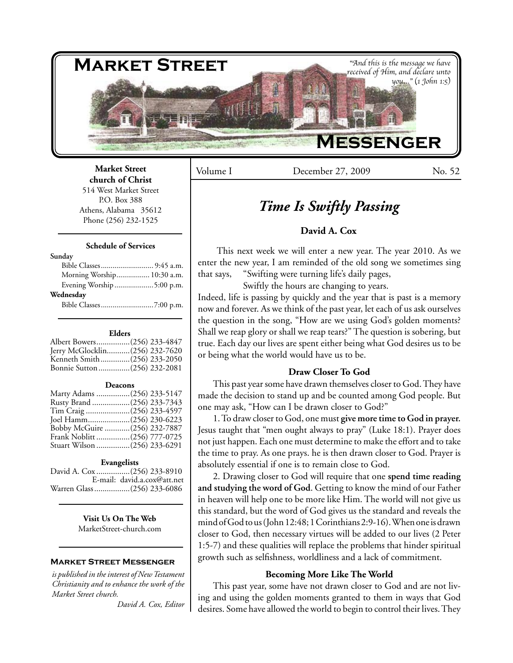

## **Market Street church of Christ**

514 West Market Street P.O. Box 388 Athens, Alabama 35612 Phone (256) 232-1525

## **Schedule of Services**

#### **Sunday**

| Morning Worship 10:30 a.m. |  |
|----------------------------|--|
| Evening Worship 5:00 p.m.  |  |
| Wednesday                  |  |
|                            |  |

#### **Elders**

| Albert Bowers(256) 233-4847    |
|--------------------------------|
| Jerry McGlocklin(256) 232-7620 |
| Kenneth Smith(256) 233-2050    |
| Bonnie Sutton (256) 232-2081   |
|                                |

#### **Deacons**

| Marty Adams (256) 233-5147   |  |
|------------------------------|--|
| Rusty Brand (256) 233-7343   |  |
| Tim Craig (256) 233-4597     |  |
| Joel Hamm(256) 230-6223      |  |
| Bobby McGuire (256) 232-7887 |  |
| Frank Noblitt (256) 777-0725 |  |
| Stuart Wilson (256) 233-6291 |  |

#### **Evangelists**

|                             | E-mail: david.a.cox@att.net |
|-----------------------------|-----------------------------|
| Warren Glass (256) 233-6086 |                             |

**Visit Us On The Web** MarketStreet-church.com

## **Market Street Messenger**

*is published in the interest of New Testament Christianity and to enhance the work of the Market Street church.*

*David A. Cox, Editor*

Volume I December 27, 2009 No. 52

# *Time Is Swiftly Passing*

## **David A. Cox**

This next week we will enter a new year. The year 2010. As we enter the new year, I am reminded of the old song we sometimes sing that says, "Swifting were turning life's daily pages,

Swiftly the hours are changing to years.

Indeed, life is passing by quickly and the year that is past is a memory now and forever. As we think of the past year, let each of us ask ourselves the question in the song, "How are we using God's golden moments? Shall we reap glory or shall we reap tears?" The question is sobering, but true. Each day our lives are spent either being what God desires us to be or being what the world would have us to be.

## **Draw Closer To God**

This past year some have drawn themselves closer to God. They have made the decision to stand up and be counted among God people. But one may ask, "How can I be drawn closer to God?"

1. To draw closer to God, one must **give more time to God in prayer.**  Jesus taught that "men ought always to pray" (Luke 18:1). Prayer does not just happen. Each one must determine to make the effort and to take the time to pray. As one prays. he is then drawn closer to God. Prayer is absolutely essential if one is to remain close to God.

2. Drawing closer to God will require that one **spend time reading and studying the word of God**. Getting to know the mind of our Father in heaven will help one to be more like Him. The world will not give us this standard, but the word of God gives us the standard and reveals the mind of God to us (John 12:48; 1 Corinthians 2:9-16). When one is drawn closer to God, then necessary virtues will be added to our lives (2 Peter 1:5-7) and these qualities will replace the problems that hinder spiritual growth such as selfishness, worldliness and a lack of commitment.

## **Becoming More Like The World**

This past year, some have not drawn closer to God and are not living and using the golden moments granted to them in ways that God desires. Some have allowed the world to begin to control their lives. They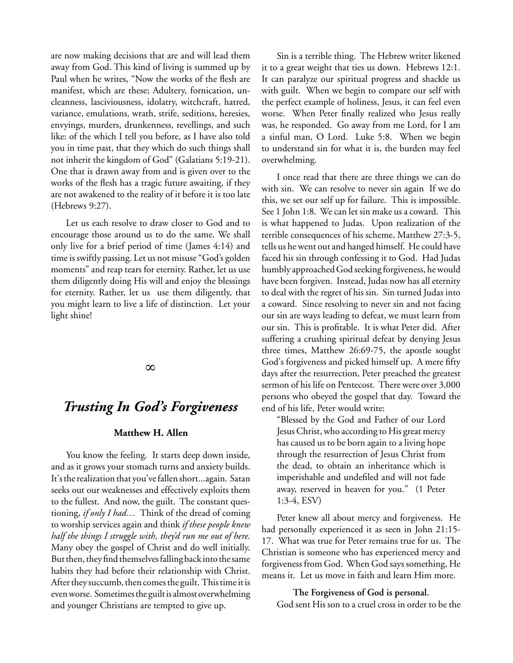are now making decisions that are and will lead them away from God. This kind of living is summed up by Paul when he writes, "Now the works of the flesh are manifest, which are these; Adultery, fornication, uncleanness, lasciviousness, idolatry, witchcraft, hatred, variance, emulations, wrath, strife, seditions, heresies, envyings, murders, drunkenness, revellings, and such like: of the which I tell you before, as I have also told you in time past, that they which do such things shall not inherit the kingdom of God" (Galatians 5:19-21). One that is drawn away from and is given over to the works of the flesh has a tragic future awaiting, if they are not awakened to the reality of it before it is too late (Hebrews 9:27).

Let us each resolve to draw closer to God and to encourage those around us to do the same. We shall only live for a brief period of time (James 4:14) and time is swiftly passing. Let us not misuse "God's golden moments" and reap tears for eternity. Rather, let us use them diligently doing His will and enjoy the blessings for eternity. Rather, let us use them diligently, that you might learn to live a life of distinction. Let your light shine!

∞

## *Trusting In God's Forgiveness*

## **Matthew H. Allen**

You know the feeling. It starts deep down inside, and as it grows your stomach turns and anxiety builds. It's the realization that you've fallen short...again. Satan seeks out our weaknesses and effectively exploits them to the fullest. And now, the guilt. The constant questioning, *if only I had…* Think of the dread of coming to worship services again and think *if these people knew half the things I struggle with, they'd run me out of here.* Many obey the gospel of Christ and do well initially. But then, they find themselves falling back into the same habits they had before their relationship with Christ. After they succumb, then comes the guilt. This time it is even worse. Sometimes the guilt is almost overwhelming and younger Christians are tempted to give up.

Sin is a terrible thing. The Hebrew writer likened it to a great weight that ties us down. Hebrews 12:1. It can paralyze our spiritual progress and shackle us with guilt. When we begin to compare our self with the perfect example of holiness, Jesus, it can feel even worse. When Peter finally realized who Jesus really was, he responded. Go away from me Lord, for I am a sinful man, O Lord. Luke 5:8. When we begin to understand sin for what it is, the burden may feel overwhelming.

I once read that there are three things we can do with sin. We can resolve to never sin again If we do this, we set our self up for failure. This is impossible. See 1 John 1:8. We can let sin make us a coward. This is what happened to Judas. Upon realization of the terrible consequences of his scheme, Matthew 27:3-5, tells us he went out and hanged himself. He could have faced his sin through confessing it to God. Had Judas humbly approached God seeking forgiveness, he would have been forgiven. Instead, Judas now has all eternity to deal with the regret of his sin. Sin turned Judas into a coward. Since resolving to never sin and not facing our sin are ways leading to defeat, we must learn from our sin. This is profitable. It is what Peter did. After suffering a crushing spiritual defeat by denying Jesus three times, Matthew 26:69-75, the apostle sought God's forgiveness and picked himself up. A mere fifty days after the resurrection, Peter preached the greatest sermon of his life on Pentecost. There were over 3,000 persons who obeyed the gospel that day. Toward the end of his life, Peter would write:

"Blessed by the God and Father of our Lord Jesus Christ, who according to His great mercy has caused us to be born again to a living hope through the resurrection of Jesus Christ from the dead, to obtain an inheritance which is imperishable and undefiled and will not fade away, reserved in heaven for you." (1 Peter 1:3-4, ESV)

Peter knew all about mercy and forgiveness. He had personally experienced it as seen in John 21:15- 17. What was true for Peter remains true for us. The Christian is someone who has experienced mercy and forgiveness from God. When God says something, He means it. Let us move in faith and learn Him more.

**The Forgiveness of God is personal.**

God sent His son to a cruel cross in order to be the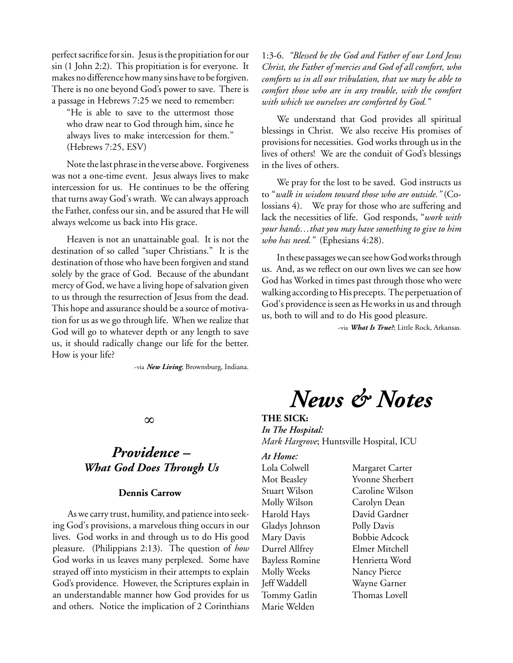perfect sacrifice for sin. Jesus is the propitiation for our sin (1 John 2:2). This propitiation is for everyone. It makes no difference how many sins have to be forgiven. There is no one beyond God's power to save. There is a passage in Hebrews 7:25 we need to remember:

"He is able to save to the uttermost those who draw near to God through him, since he always lives to make intercession for them." (Hebrews 7:25, ESV)

Note the last phrase in the verse above. Forgiveness was not a one-time event. Jesus always lives to make intercession for us. He continues to be the offering that turns away God's wrath. We can always approach the Father, confess our sin, and be assured that He will always welcome us back into His grace.

Heaven is not an unattainable goal. It is not the destination of so called "super Christians." It is the destination of those who have been forgiven and stand solely by the grace of God. Because of the abundant mercy of God, we have a living hope of salvation given to us through the resurrection of Jesus from the dead. This hope and assurance should be a source of motivation for us as we go through life. When we realize that God will go to whatever depth or any length to save us, it should radically change our life for the better. How is your life?

~via *New Living*; Brownsburg, Indiana.

## ∞

## *Providence – What God Does Through Us*

## **Dennis Carrow**

As we carry trust, humility, and patience into seeking God's provisions, a marvelous thing occurs in our lives. God works in and through us to do His good pleasure. (Philippians 2:13). The question of *how*  God works in us leaves many perplexed. Some have strayed off into mysticism in their attempts to explain God's providence. However, the Scriptures explain in an understandable manner how God provides for us and others. Notice the implication of 2 Corinthians

1:3-6. *"Blessed be the God and Father of our Lord Jesus Christ, the Father of mercies and God of all comfort, who comforts us in all our tribulation, that we may be able to comfort those who are in any trouble, with the comfort with which we ourselves are comforted by God."*

We understand that God provides all spiritual blessings in Christ. We also receive His promises of provisions for necessities. God works through us in the lives of others! We are the conduit of God's blessings in the lives of others.

We pray for the lost to be saved. God instructs us to "*walk in wisdom toward those who are outside."* (Colossians 4). We pray for those who are suffering and lack the necessities of life. God responds, "*work with your hands…that you may have something to give to him who has need."* (Ephesians 4:28).

In these passages we can see how God works through us. And, as we reflect on our own lives we can see how God has Worked in times past through those who were walking according to His precepts. The perpetuation of God's providence is seen as He works in us and through us, both to will and to do His good pleasure.

~via *What Is True?*; Little Rock, Arkansas.

*News & Notes*

## **THE SICK:**

*In The Hospital: Mark Hargrove*; Huntsville Hospital, ICU

## *At Home:*

Molly Wilson Carolyn Dean Gladys Johnson Polly Davis Molly Weeks Nancy Pierce Jeff Waddell Wayne Garner Tommy Gatlin Thomas Lovell Marie Welden

Lola Colwell Margaret Carter Mot Beasley Yvonne Sherbert Stuart Wilson Caroline Wilson Harold Hays David Gardner Mary Davis Bobbie Adcock Durrel Allfrey Elmer Mitchell Bayless Romine Henrietta Word